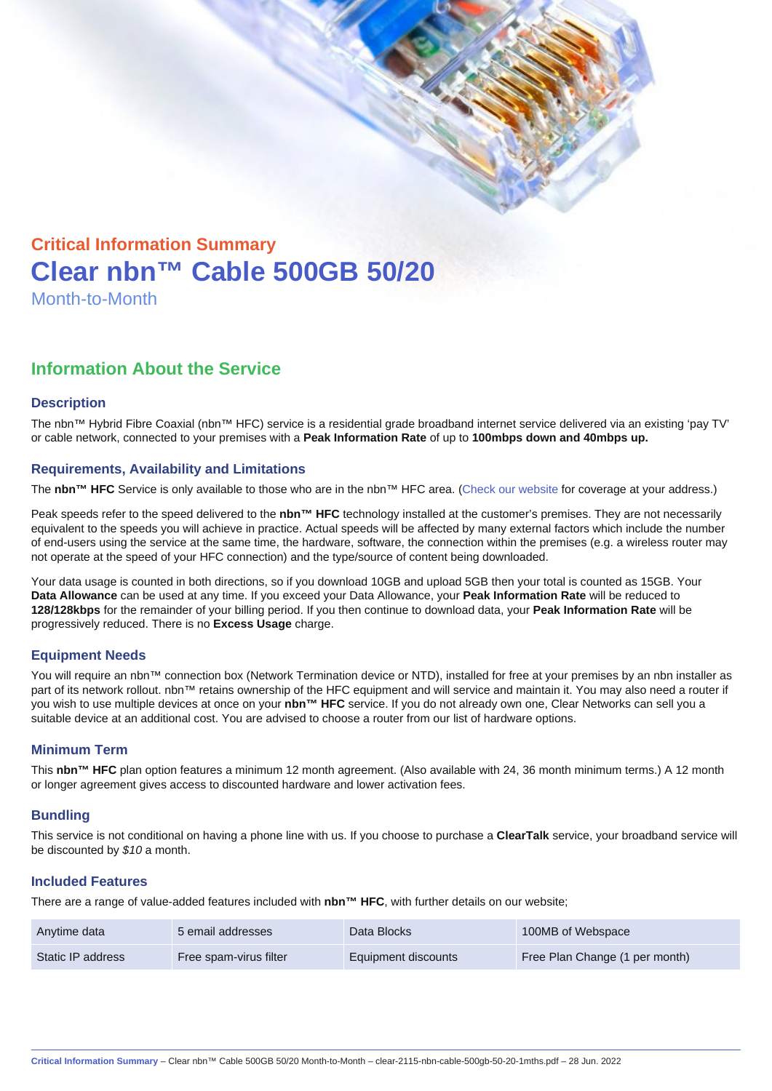# Critical Information Summary Clear nbn™ Cable 500GB 50/20 Month-to-Month

## Information About the Service

#### **Description**

The nbn™ Hybrid Fibre Coaxial (nbn™ HFC) service is a residential grade broadband internet service delivered via an existing 'pay TV' or cable network, connected to your premises with a Peak Information Rate of up to 100mbps down and 40mbps up.

#### Requirements, Availability and Limitations

The nbn™ HFC Service is only available to those who are in the nbn™ HFC area. ([Check our website](https://www.clear.com.au/business/nbn-fixed/) for coverage at your address.)

Peak speeds refer to the speed delivered to the nbn™ HFC technology installed at the customer's premises. They are not necessarily equivalent to the speeds you will achieve in practice. Actual speeds will be affected by many external factors which include the number of end-users using the service at the same time, the hardware, software, the connection within the premises (e.g. a wireless router may not operate at the speed of your HFC connection) and the type/source of content being downloaded.

Your data usage is counted in both directions, so if you download 10GB and upload 5GB then your total is counted as 15GB. Your Data Allowance can be used at any time. If you exceed your Data Allowance, your Peak Information Rate will be reduced to 128/128kbps for the remainder of your billing period. If you then continue to download data, your Peak Information Rate will be progressively reduced. There is no Excess Usage charge.

#### Equipment Needs

You will require an nbn™ connection box (Network Termination device or NTD), installed for free at your premises by an nbn installer as part of its network rollout. nbn™ retains ownership of the HFC equipment and will service and maintain it. You may also need a router if you wish to use multiple devices at once on your nbn™ HFC service. If you do not already own one, Clear Networks can sell you a suitable device at an additional cost. You are advised to choose a router from our list of hardware options.

#### Minimum Term

This nbn™ HFC plan option features a minimum 12 month agreement. (Also available with 24, 36 month minimum terms.) A 12 month or longer agreement gives access to discounted hardware and lower activation fees.

#### **Bundling**

This service is not conditional on having a phone line with us. If you choose to purchase a ClearTalk service, your broadband service will be discounted by \$10 a month.

#### Included Features

There are a range of value-added features included with nbn™ HFC , with further details on our website;

| Anytime data      | 5 email addresses      | Data Blocks         | 100MB of Webspace              |
|-------------------|------------------------|---------------------|--------------------------------|
| Static IP address | Free spam-virus filter | Equipment discounts | Free Plan Change (1 per month) |